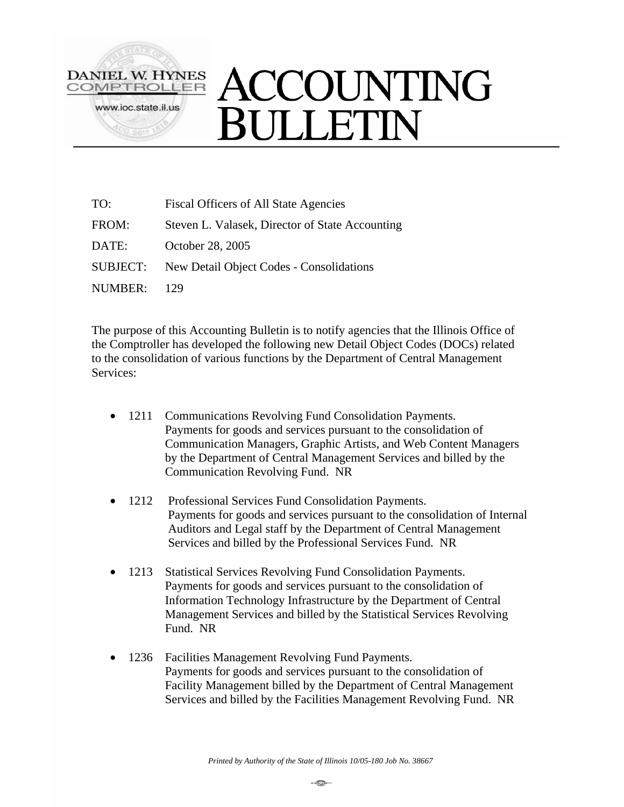

| TO:             | <b>Fiscal Officers of All State Agencies</b>    |
|-----------------|-------------------------------------------------|
| FROM:           | Steven L. Valasek, Director of State Accounting |
| DATE:           | October 28, 2005                                |
| <b>SUBJECT:</b> | New Detail Object Codes - Consolidations        |
| NUMBER:         | 129                                             |

The purpose of this Accounting Bulletin is to notify agencies that the Illinois Office of the Comptroller has developed the following new Detail Object Codes (DOCs) related to the consolidation of various functions by the Department of Central Management Services:

- 1211 Communications Revolving Fund Consolidation Payments. Payments for goods and services pursuant to the consolidation of Communication Managers, Graphic Artists, and Web Content Managers by the Department of Central Management Services and billed by the Communication Revolving Fund. NR
- 1212 Professional Services Fund Consolidation Payments. Payments for goods and services pursuant to the consolidation of Internal Auditors and Legal staff by the Department of Central Management Services and billed by the Professional Services Fund. NR
- 1213 Statistical Services Revolving Fund Consolidation Payments. Payments for goods and services pursuant to the consolidation of Information Technology Infrastructure by the Department of Central Management Services and billed by the Statistical Services Revolving Fund. NR
- 1236 Facilities Management Revolving Fund Payments. Payments for goods and services pursuant to the consolidation of Facility Management billed by the Department of Central Management Services and billed by the Facilities Management Revolving Fund. NR